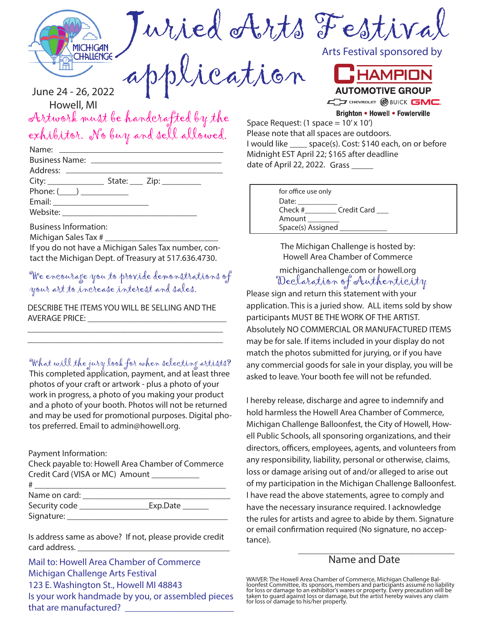

Juried Arts Festival

application

Artwork must be handcrafted by the orriment must be handerafied by me Space Request: (1 space = 10'x 10')<br>exhibitor. No buy and sell allowed. Please note that all spaces are outd June 24 - 26, 2022 Howell, MI

|                                | State: $\frac{\text{Zip:}}{\text{Exp:}}$ |  |
|--------------------------------|------------------------------------------|--|
| Phone: $(\_\_\_\_\_\_\_\_\_\_$ |                                          |  |
|                                |                                          |  |
|                                |                                          |  |
|                                |                                          |  |

Business Information:

Michigan Sales Tax #

If you do not have a Michigan Sales Tax number, contact the Michigan Dept. of Treasury at 517.636.4730.

We encourage you to provide demonstrations of your art to increase interest and sales.

DESCRIBE THE ITEMS YOU WILL BE SELLING AND THE AVERAGE PRICE:

\_\_\_\_\_\_\_\_\_\_\_\_\_\_\_\_\_\_\_\_\_\_\_\_\_\_\_\_\_\_\_\_\_\_\_\_\_\_\_\_\_\_\_\_\_ \_\_\_\_\_\_\_\_\_\_\_\_\_\_\_\_\_\_\_\_\_\_\_\_\_\_\_\_\_\_\_\_\_\_\_\_\_\_\_\_\_\_\_\_\_

What will the jury look for when selecting artists?

This completed application, payment, and at least three photos of your craft or artwork - plus a photo of your work in progress, a photo of you making your product and a photo of your booth. Photos will not be returned and may be used for promotional purposes. Digital photos preferred. Email to admin@howell.org.

Payment Information:

Check payable to: Howell Area Chamber of Commerce Credit Card (VISA or MC) Amount

| #             |          |
|---------------|----------|
| Name on card: |          |
| Security code | Exp.Date |
| Signature:    |          |
|               |          |

Is address same as above? If not, please provide credit card address.

Mail to: Howell Area Chamber of Commerce Michigan Challenge Arts Festival 123 E. Washington St., Howell MI 48843 Is your work handmade by you, or assembled pieces that are manufactured?

Arts Festival sponsored by



**Brighton • Howell • Fowlerville** 

Please note that all spaces are outdoors. I would like \_\_\_\_ space(s). Cost: \$140 each, on or before Midnight EST April 22; \$165 after deadline date of April 22, 2022. Grass \_\_\_\_\_

| for office use only |             |
|---------------------|-------------|
| Date:               |             |
| $Check$ #           | Credit Card |
| Amount              |             |
| Space(s) Assigned   |             |

The Michigan Challenge is hosted by: Howell Area Chamber of Commerce

Declaration of Authenticity michiganchallenge.com or howell.org

Please sign and return this statement with your application. This is a juried show. ALL items sold by show participants MUST BE THE WORK OF THE ARTIST. Absolutely NO COMMERCIAL OR MANUFACTURED ITEMS may be for sale. If items included in your display do not match the photos submitted for jurying, or if you have any commercial goods for sale in your display, you will be asked to leave. Your booth fee will not be refunded.

I hereby release, discharge and agree to indemnify and hold harmless the Howell Area Chamber of Commerce, Michigan Challenge Balloonfest, the City of Howell, Howell Public Schools, all sponsoring organizations, and their directors, officers, employees, agents, and volunteers from any responsibility, liability, personal or otherwise, claims, loss or damage arising out of and/or alleged to arise out of my participation in the Michigan Challenge Balloonfest. I have read the above statements, agree to comply and have the necessary insurance required. I acknowledge the rules for artists and agree to abide by them. Signature or email confirmation required (No signature, no acceptance).

## $\frac{1}{2}$  ,  $\frac{1}{2}$  ,  $\frac{1}{2}$  ,  $\frac{1}{2}$  ,  $\frac{1}{2}$  ,  $\frac{1}{2}$  ,  $\frac{1}{2}$  ,  $\frac{1}{2}$  ,  $\frac{1}{2}$  ,  $\frac{1}{2}$  ,  $\frac{1}{2}$  ,  $\frac{1}{2}$  ,  $\frac{1}{2}$  ,  $\frac{1}{2}$  ,  $\frac{1}{2}$  ,  $\frac{1}{2}$  ,  $\frac{1}{2}$  ,  $\frac{1}{2}$  ,  $\frac{1$ Name and Date

WAIVER: The Howell Area Chamber of Commerce, Michigan Challenge Bal-<br>loonfest Committee, its sponsors, members and participants assume no liability<br>for loss or damage to an exhibitor's wares or property. Every precaution w